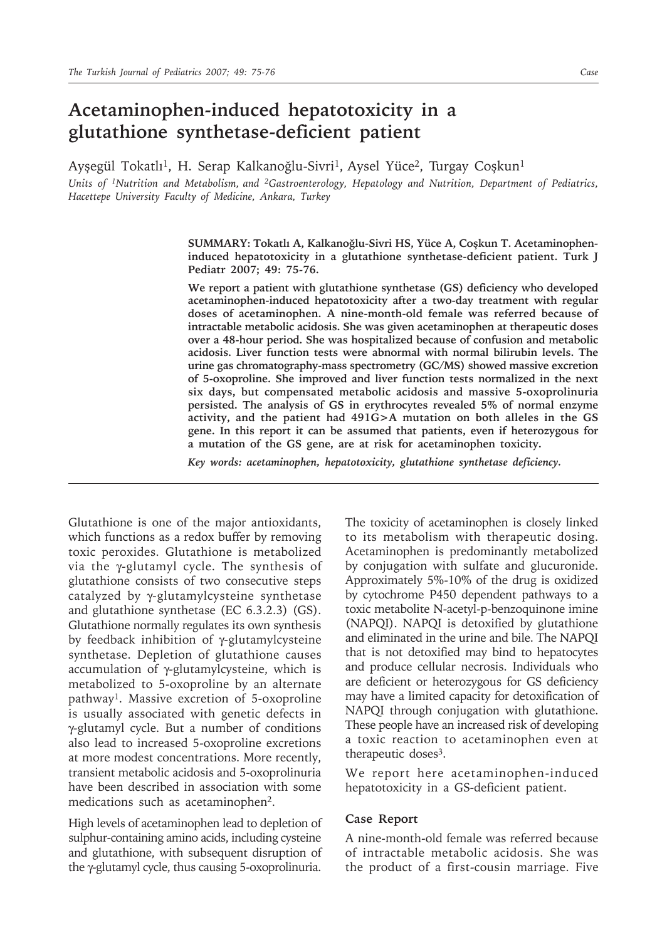# **Acetaminophen-induced hepatotoxicity in a glutathione synthetase-deficient patient**

Ayşegül Tokatlı<sup>1</sup>, H. Serap Kalkanoğlu-Sivri<sup>1</sup>, Aysel Yüce<sup>2</sup>, Turgay Coşkun<sup>1</sup>

*Units of 1Nutrition and Metabolism, and 2Gastroenterology, Hepatology and Nutrition, Department of Pediatrics, Hacettepe University Faculty of Medicine, Ankara, Turkey*

> **SUMMARY: Tokatlı A, Kalkanoğlu-Sivri HS, Yüce A, Coşkun T. Acetaminopheninduced hepatotoxicity in a glutathione synthetase-deficient patient. Turk J Pediatr 2007; 49: 75-76.**

> **We report a patient with glutathione synthetase (GS) deficiency who developed acetaminophen-induced hepatotoxicity after a two-day treatment with regular doses of acetaminophen. A nine-month-old female was referred because of intractable metabolic acidosis. She was given acetaminophen at therapeutic doses over a 48-hour period. She was hospitalized because of confusion and metabolic acidosis. Liver function tests were abnormal with normal bilirubin levels. The urine gas chromatography-mass spectrometry (GC/MS) showed massive excretion of 5-oxoproline. She improved and liver function tests normalized in the next six days, but compensated metabolic acidosis and massive 5-oxoprolinuria persisted. The analysis of GS in erythrocytes revealed 5% of normal enzyme activity, and the patient had 491G>A mutation on both alleles in the GS gene. In this report it can be assumed that patients, even if heterozygous for a mutation of the GS gene, are at risk for acetaminophen toxicity.**

*Key words: acetaminophen, hepatotoxicity, glutathione synthetase deficiency.*

Glutathione is one of the major antioxidants, which functions as a redox buffer by removing toxic peroxides. Glutathione is metabolized via the γ-glutamyl cycle. The synthesis of glutathione consists of two consecutive steps catalyzed by γ-glutamylcysteine synthetase and glutathione synthetase (EC 6.3.2.3) (GS). Glutathione normally regulates its own synthesis by feedback inhibition of γ-glutamylcysteine synthetase. Depletion of glutathione causes accumulation of γ-glutamylcysteine, which is metabolized to 5-oxoproline by an alternate pathway<sup>1</sup>. Massive excretion of 5-oxoproline is usually associated with genetic defects in γ-glutamyl cycle. But a number of conditions also lead to increased 5-oxoproline excretions at more modest concentrations. More recently, transient metabolic acidosis and 5-oxoprolinuria have been described in association with some medications such as acetaminophen<sup>2</sup>.

High levels of acetaminophen lead to depletion of sulphur-containing amino acids, including cysteine and glutathione, with subsequent disruption of the γ-glutamyl cycle, thus causing 5-oxoprolinuria.

The toxicity of acetaminophen is closely linked to its metabolism with therapeutic dosing. Acetaminophen is predominantly metabolized by conjugation with sulfate and glucuronide. Approximately 5%-10% of the drug is oxidized by cytochrome P450 dependent pathways to a toxic metabolite N-acetyl-p-benzoquinone imine (NAPQI). NAPQI is detoxified by glutathione and eliminated in the urine and bile. The NAPQI that is not detoxified may bind to hepatocytes and produce cellular necrosis. Individuals who are deficient or heterozygous for GS deficiency may have a limited capacity for detoxification of NAPQI through conjugation with glutathione. These people have an increased risk of developing a toxic reaction to acetaminophen even at therapeutic doses3.

We report here acetaminophen-induced hepatotoxicity in a GS-deficient patient.

#### **Case Report**

A nine-month-old female was referred because of intractable metabolic acidosis. She was the product of a first-cousin marriage. Five